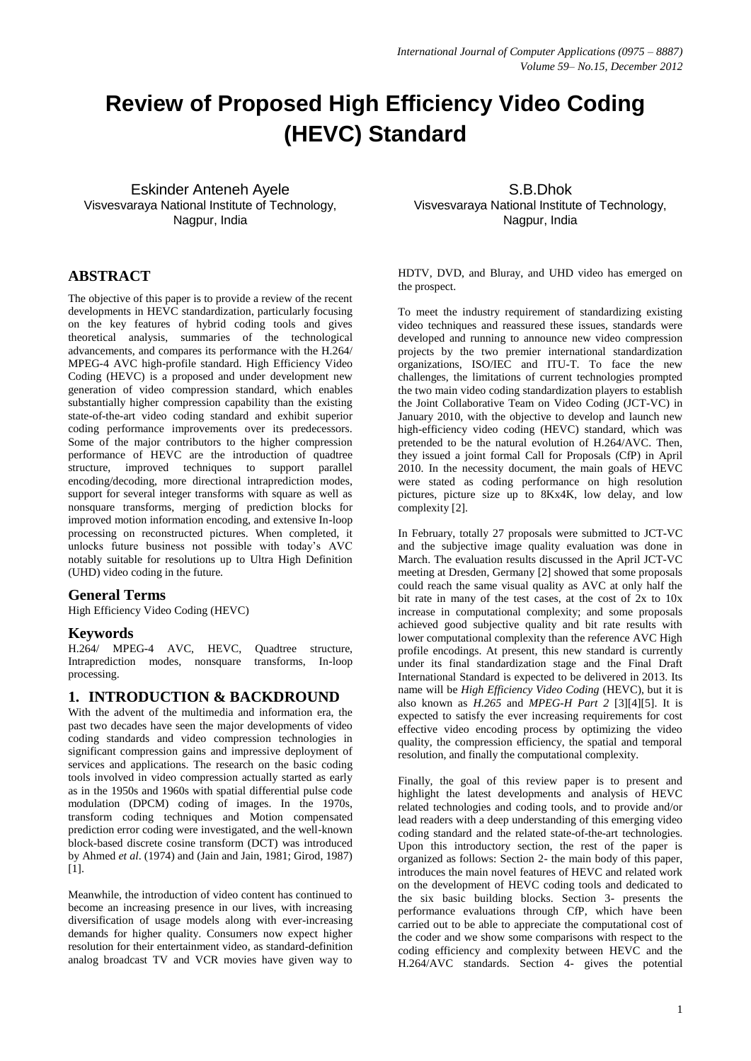# **Review of Proposed High Efficiency Video Coding (HEVC) Standard**

Eskinder Anteneh Ayele Visvesvaraya National Institute of Technology, Nagpur, India

# **ABSTRACT**

The objective of this paper is to provide a review of the recent developments in HEVC standardization, particularly focusing on the key features of hybrid coding tools and gives theoretical analysis, summaries of the technological advancements, and compares its performance with the H.264/ MPEG-4 AVC high-profile standard. High Efficiency Video Coding (HEVC) is a proposed and under development new generation of video compression standard, which enables substantially higher compression capability than the existing state-of-the-art video coding standard and exhibit superior coding performance improvements over its predecessors. Some of the major contributors to the higher compression performance of HEVC are the introduction of quadtree structure, improved techniques to support parallel encoding/decoding, more directional intraprediction modes, support for several integer transforms with square as well as nonsquare transforms, merging of prediction blocks for improved motion information encoding, and extensive In-loop processing on reconstructed pictures. When completed, it unlocks future business not possible with today's AVC notably suitable for resolutions up to Ultra High Definition (UHD) video coding in the future.

## **General Terms**

High Efficiency Video Coding (HEVC)

## **Keywords**

H.264/ MPEG-4 AVC, HEVC, Quadtree structure, Intraprediction modes, nonsquare transforms, In-loop processing.

#### **1. INTRODUCTION & BACKDROUND**

With the advent of the multimedia and information era, the past two decades have seen the major developments of video coding standards and video compression technologies in significant compression gains and impressive deployment of services and applications. The research on the basic coding tools involved in video compression actually started as early as in the 1950s and 1960s with spatial differential pulse code modulation (DPCM) coding of images. In the 1970s, transform coding techniques and Motion compensated prediction error coding were investigated, and the well-known block-based discrete cosine transform (DCT) was introduced by Ahmed *et al*. (1974) and (Jain and Jain, 1981; Girod, 1987) [1].

Meanwhile, the introduction of video content has continued to become an increasing presence in our lives, with increasing diversification of usage models along with ever-increasing demands for higher quality. Consumers now expect higher resolution for their entertainment video, as standard-definition analog broadcast TV and VCR movies have given way to

S.B.Dhok Visvesvaraya National Institute of Technology, Nagpur, India

HDTV, DVD, and Bluray, and UHD video has emerged on the prospect.

To meet the industry requirement of standardizing existing video techniques and reassured these issues, standards were developed and running to announce new video compression projects by the two premier international standardization organizations, ISO/IEC and ITU-T. To face the new challenges, the limitations of current technologies prompted the two main video coding standardization players to establish the Joint Collaborative Team on Video Coding (JCT-VC) in January 2010, with the objective to develop and launch new high-efficiency video coding (HEVC) standard, which was pretended to be the natural evolution of H.264/AVC. Then, they issued a joint formal Call for Proposals (CfP) in April 2010. In the necessity document, the main goals of HEVC were stated as coding performance on high resolution pictures, picture size up to 8Kx4K, low delay, and low complexity [2].

In February, totally 27 proposals were submitted to JCT-VC and the subjective image quality evaluation was done in March. The evaluation results discussed in the April JCT-VC meeting at Dresden, Germany [2] showed that some proposals could reach the same visual quality as AVC at only half the bit rate in many of the test cases, at the cost of 2x to 10x increase in computational complexity; and some proposals achieved good subjective quality and bit rate results with lower computational complexity than the reference AVC High profile encodings. At present, this new standard is currently under its final standardization stage and the Final Draft International Standard is expected to be delivered in 2013. Its name will be *High Efficiency Video Coding* (HEVC), but it is also known as *H.265* and *MPEG-H Part 2* [3][4][5]. It is expected to satisfy the ever increasing requirements for cost effective video encoding process by optimizing the video quality, the compression efficiency, the spatial and temporal resolution, and finally the computational complexity.

Finally, the goal of this review paper is to present and highlight the latest developments and analysis of HEVC related technologies and coding tools, and to provide and/or lead readers with a deep understanding of this emerging video coding standard and the related state-of-the-art technologies. Upon this introductory section, the rest of the paper is organized as follows: Section 2- the main body of this paper, introduces the main novel features of HEVC and related work on the development of HEVC coding tools and dedicated to the six basic building blocks. Section 3- presents the performance evaluations through CfP, which have been carried out to be able to appreciate the computational cost of the coder and we show some comparisons with respect to the coding efficiency and complexity between HEVC and the H.264/AVC standards. Section 4- gives the potential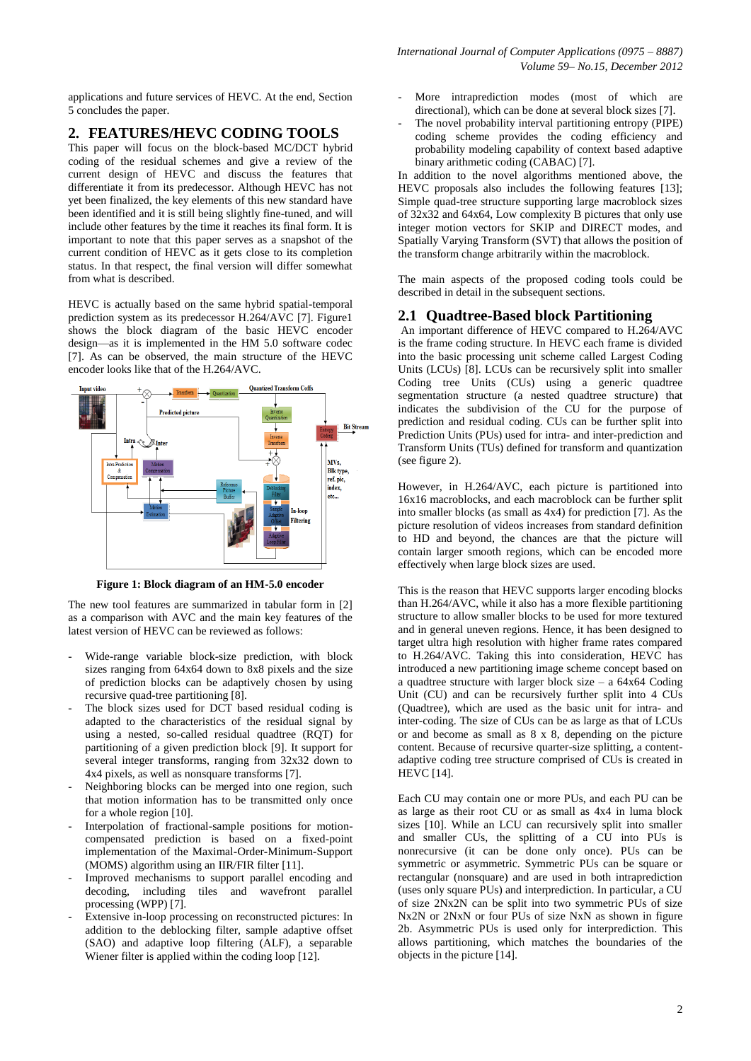applications and future services of HEVC. At the end, Section 5 concludes the paper.

# **2. FEATURES/HEVC CODING TOOLS**

This paper will focus on the block-based MC/DCT hybrid coding of the residual schemes and give a review of the current design of HEVC and discuss the features that differentiate it from its predecessor. Although HEVC has not yet been finalized, the key elements of this new standard have been identified and it is still being slightly fine-tuned, and will include other features by the time it reaches its final form. It is important to note that this paper serves as a snapshot of the current condition of HEVC as it gets close to its completion status. In that respect, the final version will differ somewhat from what is described.

HEVC is actually based on the same hybrid spatial-temporal prediction system as its predecessor H.264/AVC [7]. Figure1 shows the block diagram of the basic HEVC encoder design—as it is implemented in the HM 5.0 software codec [7]. As can be observed, the main structure of the HEVC encoder looks like that of the H.264/AVC.



**Figure 1: Block diagram of an HM-5.0 encoder**

The new tool features are summarized in tabular form in [2] as a comparison with AVC and the main key features of the latest version of HEVC can be reviewed as follows:

- Wide-range variable block-size prediction, with block sizes ranging from 64x64 down to 8x8 pixels and the size of prediction blocks can be adaptively chosen by using recursive quad-tree partitioning [8].
- The block sizes used for DCT based residual coding is adapted to the characteristics of the residual signal by using a nested, so-called residual quadtree (RQT) for partitioning of a given prediction block [9]. It support for several integer transforms, ranging from 32x32 down to 4x4 pixels, as well as nonsquare transforms [7].
- Neighboring blocks can be merged into one region, such that motion information has to be transmitted only once for a whole region [10].
- Interpolation of fractional-sample positions for motioncompensated prediction is based on a fixed-point implementation of the Maximal-Order-Minimum-Support (MOMS) algorithm using an IIR/FIR filter [11].
- Improved mechanisms to support parallel encoding and decoding, including tiles and wavefront parallel processing (WPP) [7].
- Extensive in-loop processing on reconstructed pictures: In addition to the deblocking filter, sample adaptive offset (SAO) and adaptive loop filtering (ALF), a separable Wiener filter is applied within the coding loop [12].
- More intraprediction modes (most of which are directional), which can be done at several block sizes [7].
- The novel probability interval partitioning entropy (PIPE) coding scheme provides the coding efficiency and probability modeling capability of context based adaptive binary arithmetic coding (CABAC) [7].

In addition to the novel algorithms mentioned above, the HEVC proposals also includes the following features [13]; Simple quad-tree structure supporting large macroblock sizes of 32x32 and 64x64, Low complexity B pictures that only use integer motion vectors for SKIP and DIRECT modes, and Spatially Varying Transform (SVT) that allows the position of the transform change arbitrarily within the macroblock.

The main aspects of the proposed coding tools could be described in detail in the subsequent sections.

# **2.1 Quadtree-Based block Partitioning**

An important difference of HEVC compared to H.264/AVC is the frame coding structure. In HEVC each frame is divided into the basic processing unit scheme called Largest Coding Units (LCUs) [8]. LCUs can be recursively split into smaller Coding tree Units (CUs) using a generic quadtree segmentation structure (a nested quadtree structure) that indicates the subdivision of the CU for the purpose of prediction and residual coding. CUs can be further split into Prediction Units (PUs) used for intra- and inter-prediction and Transform Units (TUs) defined for transform and quantization (see figure 2).

However, in H.264/AVC, each picture is partitioned into 16x16 macroblocks, and each macroblock can be further split into smaller blocks (as small as 4x4) for prediction [7]. As the picture resolution of videos increases from standard definition to HD and beyond, the chances are that the picture will contain larger smooth regions, which can be encoded more effectively when large block sizes are used.

This is the reason that HEVC supports larger encoding blocks than H.264/AVC, while it also has a more flexible partitioning structure to allow smaller blocks to be used for more textured and in general uneven regions. Hence, it has been designed to target ultra high resolution with higher frame rates compared to H.264/AVC. Taking this into consideration, HEVC has introduced a new partitioning image scheme concept based on a quadtree structure with larger block size – a 64x64 Coding Unit (CU) and can be recursively further split into 4 CUs (Quadtree), which are used as the basic unit for intra- and inter-coding. The size of CUs can be as large as that of LCUs or and become as small as 8 x 8, depending on the picture content. Because of recursive quarter-size splitting, a contentadaptive coding tree structure comprised of CUs is created in HEVC [14].

Each CU may contain one or more PUs, and each PU can be as large as their root CU or as small as 4x4 in luma block sizes [10]. While an LCU can recursively split into smaller and smaller CUs, the splitting of a CU into PUs is nonrecursive (it can be done only once). PUs can be symmetric or asymmetric. Symmetric PUs can be square or rectangular (nonsquare) and are used in both intraprediction (uses only square PUs) and interprediction. In particular, a CU of size 2Nx2N can be split into two symmetric PUs of size Nx2N or 2NxN or four PUs of size NxN as shown in figure 2b. Asymmetric PUs is used only for interprediction. This allows partitioning, which matches the boundaries of the objects in the picture [14].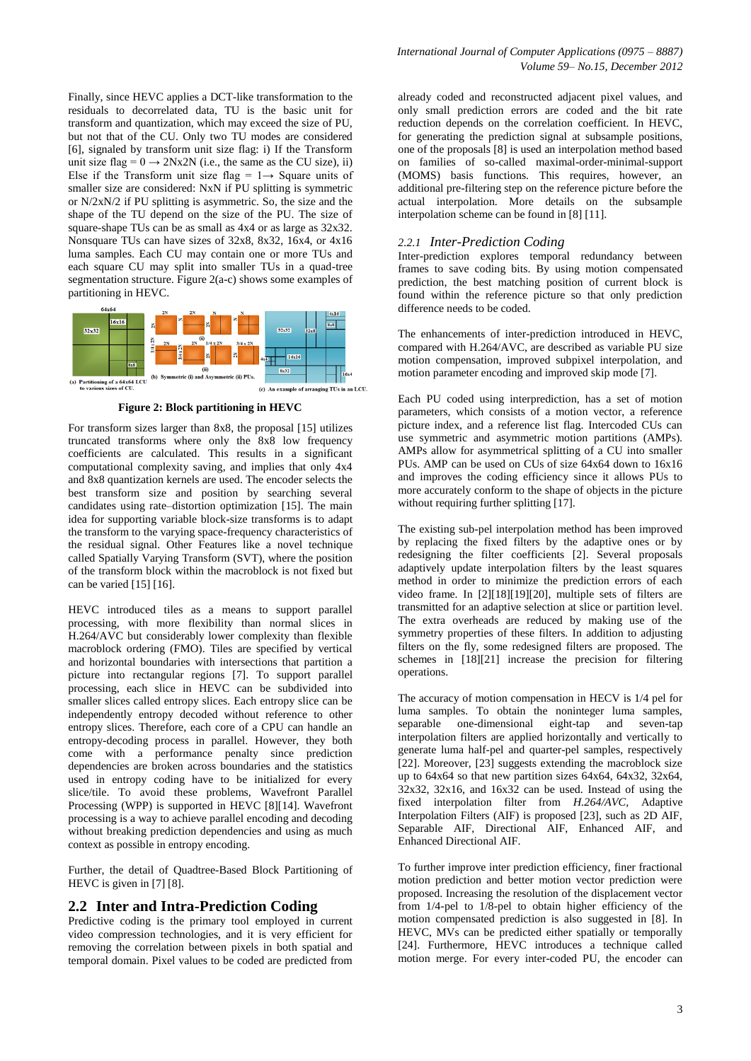Finally, since HEVC applies a DCT-like transformation to the residuals to decorrelated data, TU is the basic unit for transform and quantization, which may exceed the size of PU, but not that of the CU. Only two TU modes are considered [6], signaled by transform unit size flag: i) If the Transform unit size flag =  $0 \rightarrow 2Nx2N$  (i.e., the same as the CU size), ii) Else if the Transform unit size flag =  $1 \rightarrow$  Square units of smaller size are considered: NxN if PU splitting is symmetric or N/2xN/2 if PU splitting is asymmetric. So, the size and the shape of the TU depend on the size of the PU. The size of square-shape TUs can be as small as  $4x4$  or as large as  $32x32$ . Nonsquare TUs can have sizes of 32x8, 8x32, 16x4, or 4x16 luma samples. Each CU may contain one or more TUs and each square CU may split into smaller TUs in a quad-tree segmentation structure. Figure 2(a-c) shows some examples of partitioning in HEVC.



**Figure 2: Block partitioning in HEVC**

For transform sizes larger than 8x8, the proposal [15] utilizes truncated transforms where only the 8x8 low frequency coefficients are calculated. This results in a significant computational complexity saving, and implies that only 4x4 and 8x8 quantization kernels are used. The encoder selects the best transform size and position by searching several candidates using rate–distortion optimization [15]. The main idea for supporting variable block-size transforms is to adapt the transform to the varying space-frequency characteristics of the residual signal. Other Features like a novel technique called Spatially Varying Transform (SVT), where the position of the transform block within the macroblock is not fixed but can be varied [15] [16].

HEVC introduced tiles as a means to support parallel processing, with more flexibility than normal slices in H.264/AVC but considerably lower complexity than flexible macroblock ordering (FMO). Tiles are specified by vertical and horizontal boundaries with intersections that partition a picture into rectangular regions [7]. To support parallel processing, each slice in HEVC can be subdivided into smaller slices called entropy slices. Each entropy slice can be independently entropy decoded without reference to other entropy slices. Therefore, each core of a CPU can handle an entropy-decoding process in parallel. However, they both come with a performance penalty since prediction dependencies are broken across boundaries and the statistics used in entropy coding have to be initialized for every slice/tile. To avoid these problems, Wavefront Parallel Processing (WPP) is supported in HEVC [8][14]. Wavefront processing is a way to achieve parallel encoding and decoding without breaking prediction dependencies and using as much context as possible in entropy encoding.

Further, the detail of Quadtree-Based Block Partitioning of HEVC is given in [7] [8].

#### **2.2 Inter and Intra-Prediction Coding**

Predictive coding is the primary tool employed in current video compression technologies, and it is very efficient for removing the correlation between pixels in both spatial and temporal domain. Pixel values to be coded are predicted from

already coded and reconstructed adjacent pixel values, and only small prediction errors are coded and the bit rate reduction depends on the correlation coefficient. In HEVC, for generating the prediction signal at subsample positions, one of the proposals [8] is used an interpolation method based on families of so-called maximal-order-minimal-support (MOMS) basis functions. This requires, however, an additional pre-filtering step on the reference picture before the actual interpolation. More details on the subsample interpolation scheme can be found in [8] [11].

#### *2.2.1 Inter-Prediction Coding*

Inter-prediction explores temporal redundancy between frames to save coding bits. By using motion compensated prediction, the best matching position of current block is found within the reference picture so that only prediction difference needs to be coded.

The enhancements of inter-prediction introduced in HEVC, compared with H.264/AVC, are described as variable PU size motion compensation, improved subpixel interpolation, and motion parameter encoding and improved skip mode [7].

Each PU coded using interprediction, has a set of motion parameters, which consists of a motion vector, a reference picture index, and a reference list flag. Intercoded CUs can use symmetric and asymmetric motion partitions (AMPs). AMPs allow for asymmetrical splitting of a CU into smaller PUs. AMP can be used on CUs of size 64x64 down to 16x16 and improves the coding efficiency since it allows PUs to more accurately conform to the shape of objects in the picture without requiring further splitting  $[17]$ .

The existing sub-pel interpolation method has been improved by replacing the fixed filters by the adaptive ones or by redesigning the filter coefficients [2]. Several proposals adaptively update interpolation filters by the least squares method in order to minimize the prediction errors of each video frame. In [2][18][19][20], multiple sets of filters are transmitted for an adaptive selection at slice or partition level. The extra overheads are reduced by making use of the symmetry properties of these filters. In addition to adjusting filters on the fly, some redesigned filters are proposed. The schemes in [18][21] increase the precision for filtering operations.

The accuracy of motion compensation in HECV is 1/4 pel for luma samples. To obtain the noninteger luma samples, separable one-dimensional eight-tap and seven-tap interpolation filters are applied horizontally and vertically to generate luma half-pel and quarter-pel samples, respectively [22]. Moreover, [23] suggests extending the macroblock size up to 64x64 so that new partition sizes 64x64, 64x32, 32x64, 32x32, 32x16, and 16x32 can be used. Instead of using the fixed interpolation filter from *H.264/AVC,* Adaptive Interpolation Filters (AIF) is proposed [23], such as 2D AIF, Separable AIF, Directional AIF, Enhanced AIF, and Enhanced Directional AIF.

To further improve inter prediction efficiency, finer fractional motion prediction and better motion vector prediction were proposed. Increasing the resolution of the displacement vector from 1/4-pel to 1/8-pel to obtain higher efficiency of the motion compensated prediction is also suggested in [8]. In HEVC, MVs can be predicted either spatially or temporally [24]. Furthermore, HEVC introduces a technique called motion merge. For every inter-coded PU, the encoder can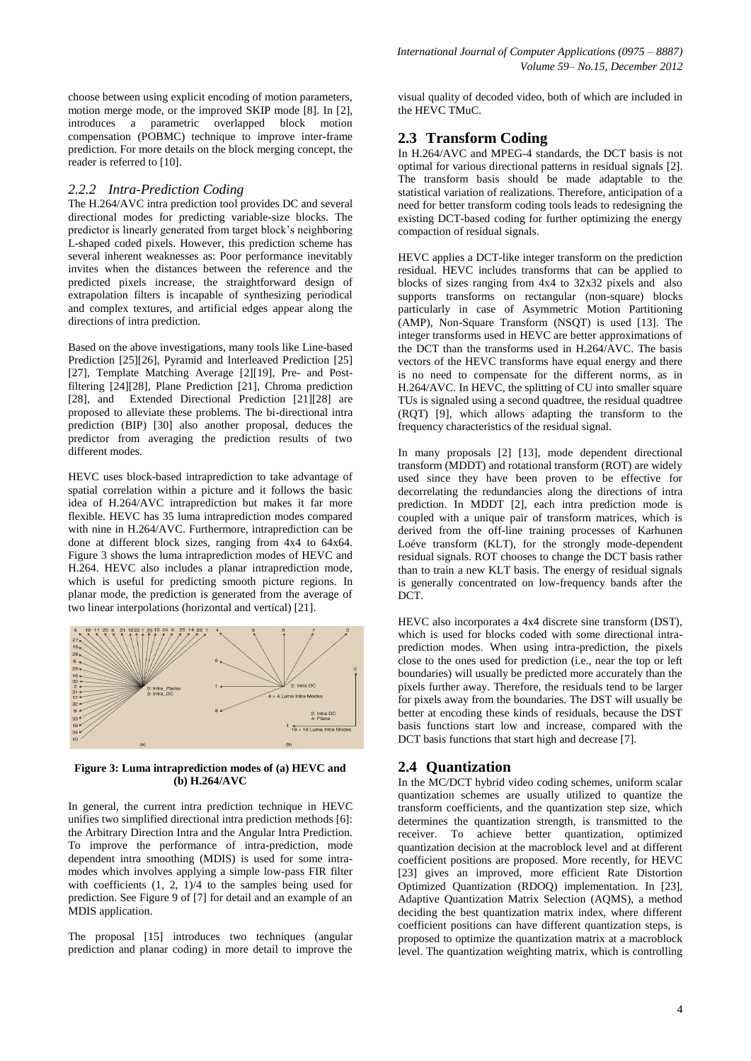choose between using explicit encoding of motion parameters, motion merge mode, or the improved SKIP mode [8]. In [2], introduces a parametric overlapped block motion compensation (POBMC) technique to improve inter-frame prediction. For more details on the block merging concept, the reader is referred to [10].

#### *2.2.2 Intra-Prediction Coding*

The H.264/AVC intra prediction tool provides DC and several directional modes for predicting variable-size blocks. The predictor is linearly generated from target block's neighboring L-shaped coded pixels. However, this prediction scheme has several inherent weaknesses as: Poor performance inevitably invites when the distances between the reference and the predicted pixels increase, the straightforward design of extrapolation filters is incapable of synthesizing periodical and complex textures, and artificial edges appear along the directions of intra prediction.

Based on the above investigations, many tools like Line-based Prediction [25][26], Pyramid and Interleaved Prediction [25] [27], Template Matching Average [2][19], Pre- and Postfiltering [24][28], Plane Prediction [21], Chroma prediction [28], and Extended Directional Prediction [21][28] are proposed to alleviate these problems. The bi-directional intra prediction (BIP) [30] also another proposal, deduces the predictor from averaging the prediction results of two different modes.

HEVC uses block-based intraprediction to take advantage of spatial correlation within a picture and it follows the basic idea of H.264/AVC intraprediction but makes it far more flexible. HEVC has 35 luma intraprediction modes compared with nine in H.264/AVC. Furthermore, intraprediction can be done at different block sizes, ranging from 4x4 to 64x64. Figure 3 shows the luma intraprediction modes of HEVC and H.264. HEVC also includes a planar intraprediction mode, which is useful for predicting smooth picture regions. In planar mode, the prediction is generated from the average of two linear interpolations (horizontal and vertical) [21].



#### **Figure 3: Luma intraprediction modes of (a) HEVC and (b) H.264/AVC**

In general, the current intra prediction technique in HEVC unifies two simplified directional intra prediction methods [6]: the Arbitrary Direction Intra and the Angular Intra Prediction. To improve the performance of intra-prediction, mode dependent intra smoothing (MDIS) is used for some intramodes which involves applying a simple low-pass FIR filter with coefficients  $(1, 2, 1)/4$  to the samples being used for prediction. See Figure 9 of [7] for detail and an example of an MDIS application.

The proposal [15] introduces two techniques (angular prediction and planar coding) in more detail to improve the visual quality of decoded video, both of which are included in the HEVC TMuC.

#### **2.3 Transform Coding**

In H.264/AVC and MPEG-4 standards, the DCT basis is not optimal for various directional patterns in residual signals [2]. The transform basis should be made adaptable to the statistical variation of realizations. Therefore, anticipation of a need for better transform coding tools leads to redesigning the existing DCT-based coding for further optimizing the energy compaction of residual signals.

HEVC applies a DCT-like integer transform on the prediction residual. HEVC includes transforms that can be applied to blocks of sizes ranging from  $4x4$  to  $32x32$  pixels and also supports transforms on rectangular (non-square) blocks particularly in case of Asymmetric Motion Partitioning (AMP), Non-Square Transform (NSQT) is used [13]. The integer transforms used in HEVC are better approximations of the DCT than the transforms used in H.264/AVC. The basis vectors of the HEVC transforms have equal energy and there is no need to compensate for the different norms, as in H.264/AVC. In HEVC, the splitting of CU into smaller square TUs is signaled using a second quadtree, the residual quadtree (RQT) [9], which allows adapting the transform to the frequency characteristics of the residual signal.

In many proposals [2] [13], mode dependent directional transform (MDDT) and rotational transform (ROT) are widely used since they have been proven to be effective for decorrelating the redundancies along the directions of intra prediction. In MDDT [2], each intra prediction mode is coupled with a unique pair of transform matrices, which is derived from the off-line training processes of Karhunen Loéve transform (KLT), for the strongly mode-dependent residual signals. ROT chooses to change the DCT basis rather than to train a new KLT basis. The energy of residual signals is generally concentrated on low-frequency bands after the DCT.

HEVC also incorporates a 4x4 discrete sine transform (DST), which is used for blocks coded with some directional intraprediction modes. When using intra-prediction, the pixels close to the ones used for prediction (i.e., near the top or left boundaries) will usually be predicted more accurately than the pixels further away. Therefore, the residuals tend to be larger for pixels away from the boundaries. The DST will usually be better at encoding these kinds of residuals, because the DST basis functions start low and increase, compared with the DCT basis functions that start high and decrease [7].

#### **2.4 Quantization**

In the MC/DCT hybrid video coding schemes, uniform scalar quantization schemes are usually utilized to quantize the transform coefficients, and the quantization step size, which determines the quantization strength, is transmitted to the receiver. To achieve better quantization, optimized quantization decision at the macroblock level and at different coefficient positions are proposed. More recently, for HEVC [23] gives an improved, more efficient Rate Distortion Optimized Quantization (RDOQ) implementation. In [23], Adaptive Quantization Matrix Selection (AQMS), a method deciding the best quantization matrix index, where different coefficient positions can have different quantization steps, is proposed to optimize the quantization matrix at a macroblock level. The quantization weighting matrix, which is controlling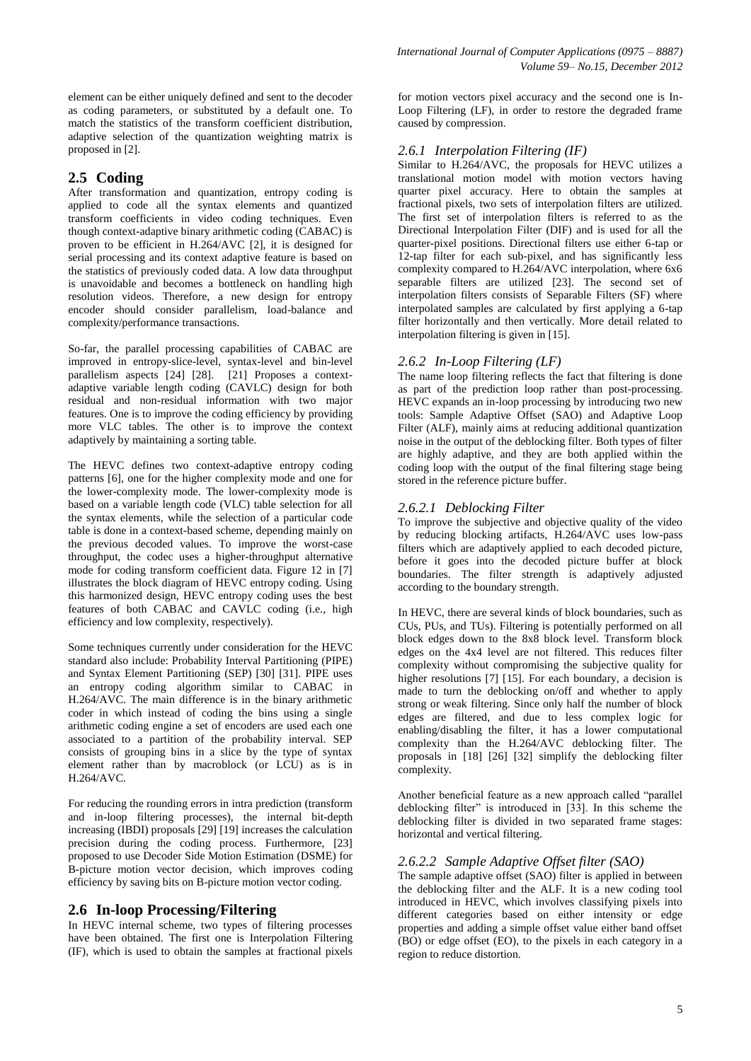element can be either uniquely defined and sent to the decoder as coding parameters, or substituted by a default one. To match the statistics of the transform coefficient distribution, adaptive selection of the quantization weighting matrix is proposed in [2].

## **2.5 Coding**

After transformation and quantization, entropy coding is applied to code all the syntax elements and quantized transform coefficients in video coding techniques. Even though context-adaptive binary arithmetic coding (CABAC) is proven to be efficient in H.264/AVC [2], it is designed for serial processing and its context adaptive feature is based on the statistics of previously coded data. A low data throughput is unavoidable and becomes a bottleneck on handling high resolution videos. Therefore, a new design for entropy encoder should consider parallelism, load-balance and complexity/performance transactions.

So-far, the parallel processing capabilities of CABAC are improved in entropy-slice-level, syntax-level and bin-level parallelism aspects [24] [28]. [21] Proposes a contextadaptive variable length coding (CAVLC) design for both residual and non-residual information with two major features. One is to improve the coding efficiency by providing more VLC tables. The other is to improve the context adaptively by maintaining a sorting table.

The HEVC defines two context-adaptive entropy coding patterns [6], one for the higher complexity mode and one for the lower-complexity mode. The lower-complexity mode is based on a variable length code (VLC) table selection for all the syntax elements, while the selection of a particular code table is done in a context-based scheme, depending mainly on the previous decoded values. To improve the worst-case throughput, the codec uses a higher-throughput alternative mode for coding transform coefficient data. Figure 12 in [7] illustrates the block diagram of HEVC entropy coding. Using this harmonized design, HEVC entropy coding uses the best features of both CABAC and CAVLC coding (i.e., high efficiency and low complexity, respectively).

Some techniques currently under consideration for the HEVC standard also include: Probability Interval Partitioning (PIPE) and Syntax Element Partitioning (SEP) [30] [31]. PIPE uses an entropy coding algorithm similar to CABAC in H.264/AVC. The main difference is in the binary arithmetic coder in which instead of coding the bins using a single arithmetic coding engine a set of encoders are used each one associated to a partition of the probability interval. SEP consists of grouping bins in a slice by the type of syntax element rather than by macroblock (or LCU) as is in H.264/AVC.

For reducing the rounding errors in intra prediction (transform and in-loop filtering processes), the internal bit-depth increasing (IBDI) proposals [29] [19] increases the calculation precision during the coding process. Furthermore, [23] proposed to use Decoder Side Motion Estimation (DSME) for B-picture motion vector decision, which improves coding efficiency by saving bits on B-picture motion vector coding.

## **2.6 In-loop Processing/Filtering**

In HEVC internal scheme, two types of filtering processes have been obtained. The first one is Interpolation Filtering (IF), which is used to obtain the samples at fractional pixels

for motion vectors pixel accuracy and the second one is In-Loop Filtering (LF), in order to restore the degraded frame caused by compression.

### *2.6.1 Interpolation Filtering (IF)*

Similar to H.264/AVC, the proposals for HEVC utilizes a translational motion model with motion vectors having quarter pixel accuracy. Here to obtain the samples at fractional pixels, two sets of interpolation filters are utilized. The first set of interpolation filters is referred to as the Directional Interpolation Filter (DIF) and is used for all the quarter-pixel positions. Directional filters use either 6-tap or 12-tap filter for each sub-pixel, and has significantly less complexity compared to H.264/AVC interpolation, where 6x6 separable filters are utilized [23]. The second set of interpolation filters consists of Separable Filters (SF) where interpolated samples are calculated by first applying a 6-tap filter horizontally and then vertically. More detail related to interpolation filtering is given in [15].

#### *2.6.2 In-Loop Filtering (LF)*

The name loop filtering reflects the fact that filtering is done as part of the prediction loop rather than post-processing. HEVC expands an in-loop processing by introducing two new tools: Sample Adaptive Offset (SAO) and Adaptive Loop Filter (ALF), mainly aims at reducing additional quantization noise in the output of the deblocking filter. Both types of filter are highly adaptive, and they are both applied within the coding loop with the output of the final filtering stage being stored in the reference picture buffer.

#### *2.6.2.1 Deblocking Filter*

To improve the subjective and objective quality of the video by reducing blocking artifacts, H.264/AVC uses low-pass filters which are adaptively applied to each decoded picture, before it goes into the decoded picture buffer at block boundaries. The filter strength is adaptively adjusted according to the boundary strength.

In HEVC, there are several kinds of block boundaries, such as CUs, PUs, and TUs). Filtering is potentially performed on all block edges down to the 8x8 block level. Transform block edges on the 4x4 level are not filtered. This reduces filter complexity without compromising the subjective quality for higher resolutions [7] [15]. For each boundary, a decision is made to turn the deblocking on/off and whether to apply strong or weak filtering. Since only half the number of block edges are filtered, and due to less complex logic for enabling/disabling the filter, it has a lower computational complexity than the H.264/AVC deblocking filter. The proposals in [18] [26] [32] simplify the deblocking filter complexity.

Another beneficial feature as a new approach called "parallel deblocking filter" is introduced in [33]. In this scheme the deblocking filter is divided in two separated frame stages: horizontal and vertical filtering.

#### *2.6.2.2 Sample Adaptive Offset filter (SAO)*

The sample adaptive offset (SAO) filter is applied in between the deblocking filter and the ALF. It is a new coding tool introduced in HEVC, which involves classifying pixels into different categories based on either intensity or edge properties and adding a simple offset value either band offset (BO) or edge offset (EO), to the pixels in each category in a region to reduce distortion.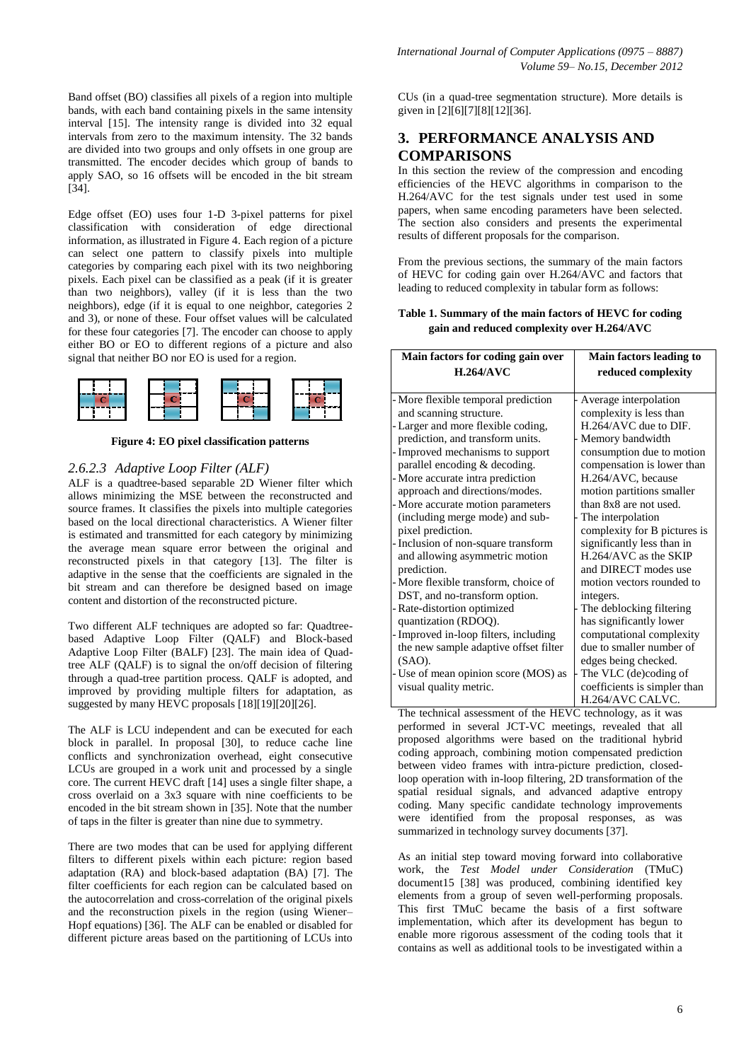Band offset (BO) classifies all pixels of a region into multiple bands, with each band containing pixels in the same intensity interval [15]. The intensity range is divided into 32 equal intervals from zero to the maximum intensity. The 32 bands are divided into two groups and only offsets in one group are transmitted. The encoder decides which group of bands to apply SAO, so 16 offsets will be encoded in the bit stream [34].

Edge offset (EO) uses four 1-D 3-pixel patterns for pixel classification with consideration of edge directional information, as illustrated in Figure 4. Each region of a picture can select one pattern to classify pixels into multiple categories by comparing each pixel with its two neighboring pixels. Each pixel can be classified as a peak (if it is greater than two neighbors), valley (if it is less than the two neighbors), edge (if it is equal to one neighbor, categories 2 and 3), or none of these. Four offset values will be calculated for these four categories [7]. The encoder can choose to apply either BO or EO to different regions of a picture and also signal that neither BO nor EO is used for a region.



**Figure 4: EO pixel classification patterns**

#### *2.6.2.3 Adaptive Loop Filter (ALF)*

ALF is a quadtree-based separable 2D Wiener filter which allows minimizing the MSE between the reconstructed and source frames. It classifies the pixels into multiple categories based on the local directional characteristics. A Wiener filter is estimated and transmitted for each category by minimizing the average mean square error between the original and reconstructed pixels in that category [13]. The filter is adaptive in the sense that the coefficients are signaled in the bit stream and can therefore be designed based on image content and distortion of the reconstructed picture.

Two different ALF techniques are adopted so far: Quadtreebased Adaptive Loop Filter (QALF) and Block-based Adaptive Loop Filter (BALF) [23]. The main idea of Quadtree ALF (QALF) is to signal the on/off decision of filtering through a quad-tree partition process. QALF is adopted, and improved by providing multiple filters for adaptation, as suggested by many HEVC proposals [18][19][20][26].

The ALF is LCU independent and can be executed for each block in parallel. In proposal [30], to reduce cache line conflicts and synchronization overhead, eight consecutive LCUs are grouped in a work unit and processed by a single core. The current HEVC draft [14] uses a single filter shape, a cross overlaid on a 3x3 square with nine coefficients to be encoded in the bit stream shown in [35]. Note that the number of taps in the filter is greater than nine due to symmetry.

There are two modes that can be used for applying different filters to different pixels within each picture: region based adaptation (RA) and block-based adaptation (BA) [7]. The filter coefficients for each region can be calculated based on the autocorrelation and cross-correlation of the original pixels and the reconstruction pixels in the region (using Wiener– Hopf equations) [36]. The ALF can be enabled or disabled for different picture areas based on the partitioning of LCUs into CUs (in a quad-tree segmentation structure). More details is given in [2][6][7][8][12][36].

## **3. PERFORMANCE ANALYSIS AND COMPARISONS**

In this section the review of the compression and encoding efficiencies of the HEVC algorithms in comparison to the H.264/AVC for the test signals under test used in some papers, when same encoding parameters have been selected. The section also considers and presents the experimental results of different proposals for the comparison.

From the previous sections, the summary of the main factors of HEVC for coding gain over H.264/AVC and factors that leading to reduced complexity in tabular form as follows:

#### **Table 1. Summary of the main factors of HEVC for coding gain and reduced complexity over H.264/AVC**

| Main factors for coding gain over                              | Main factors leading to                                                   |
|----------------------------------------------------------------|---------------------------------------------------------------------------|
| $H.264/A$ VC                                                   | reduced complexity                                                        |
| - More flexible temporal prediction                            | Average interpolation                                                     |
| and scanning structure.                                        | complexity is less than                                                   |
| - Larger and more flexible coding,                             | H.264/AVC due to DIF.                                                     |
| prediction, and transform units.                               | Memory bandwidth                                                          |
| - Improved mechanisms to support                               | consumption due to motion                                                 |
| parallel encoding & decoding.                                  | compensation is lower than                                                |
| More accurate intra prediction                                 | H.264/AVC, because                                                        |
| approach and directions/modes.                                 | motion partitions smaller                                                 |
| - More accurate motion parameters                              | than 8x8 are not used.                                                    |
| (including merge mode) and sub-                                | The interpolation                                                         |
| pixel prediction.                                              | complexity for B pictures is                                              |
| - Inclusion of non-square transform                            | significantly less than in                                                |
| and allowing asymmetric motion                                 | H.264/AVC as the SKIP                                                     |
| prediction.                                                    | and DIRECT modes use                                                      |
| - More flexible transform, choice of                           | motion vectors rounded to                                                 |
| DST, and no-transform option.                                  | integers.                                                                 |
| - Rate-distortion optimized                                    | The deblocking filtering                                                  |
| quantization (RDOQ).                                           | has significantly lower                                                   |
| Improved in-loop filters, including                            | computational complexity                                                  |
| the new sample adaptive offset filter                          | due to smaller number of                                                  |
| $(SAO)$ .                                                      | edges being checked.                                                      |
| - Use of mean opinion score (MOS) as<br>visual quality metric. | The VLC (de)coding of<br>coefficients is simpler than<br>H.264/AVC CALVC. |

The technical assessment of the HEVC technology, as it was performed in several JCT-VC meetings, revealed that all proposed algorithms were based on the traditional hybrid coding approach, combining motion compensated prediction between video frames with intra-picture prediction, closedloop operation with in-loop filtering, 2D transformation of the spatial residual signals, and advanced adaptive entropy coding. Many specific candidate technology improvements were identified from the proposal responses, as was summarized in technology survey documents [37].

As an initial step toward moving forward into collaborative work, the *Test Model under Consideration* (TMuC) document15 [38] was produced, combining identified key elements from a group of seven well-performing proposals. This first TMuC became the basis of a first software implementation, which after its development has begun to enable more rigorous assessment of the coding tools that it contains as well as additional tools to be investigated within a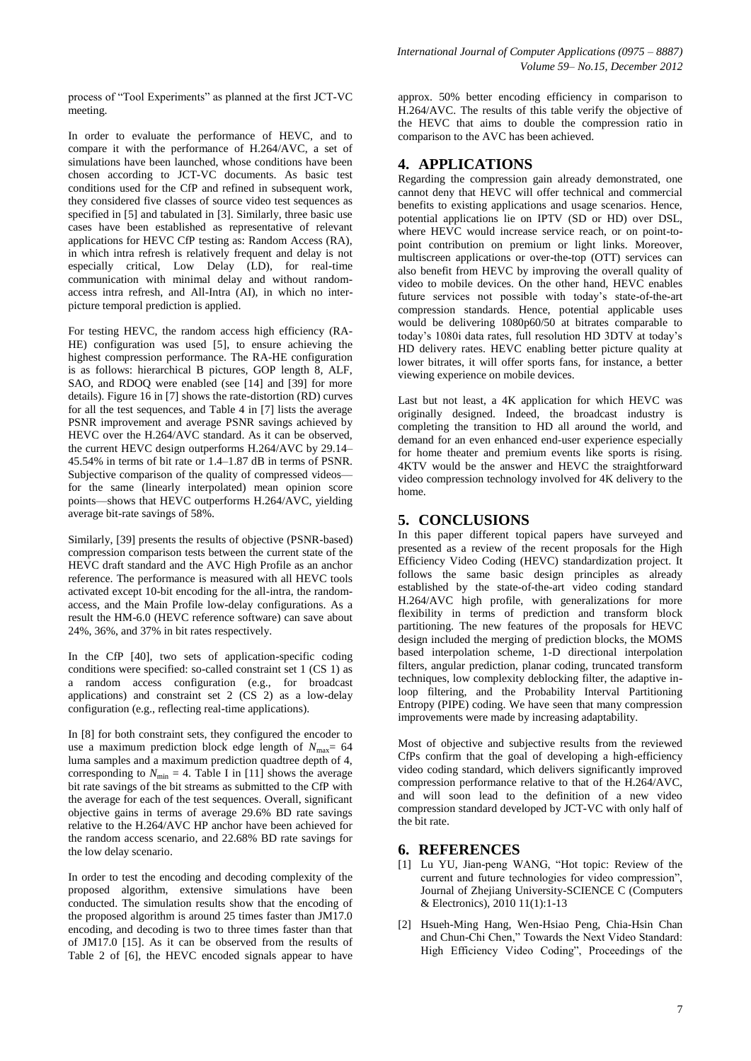process of "Tool Experiments" as planned at the first JCT-VC meeting.

In order to evaluate the performance of HEVC, and to compare it with the performance of H.264/AVC, a set of simulations have been launched, whose conditions have been chosen according to JCT-VC documents. As basic test conditions used for the CfP and refined in subsequent work, they considered five classes of source video test sequences as specified in [5] and tabulated in [3]. Similarly, three basic use cases have been established as representative of relevant applications for HEVC CfP testing as: Random Access (RA), in which intra refresh is relatively frequent and delay is not especially critical, Low Delay (LD), for real-time communication with minimal delay and without randomaccess intra refresh, and All-Intra (AI), in which no interpicture temporal prediction is applied.

For testing HEVC, the random access high efficiency (RA-HE) configuration was used [5], to ensure achieving the highest compression performance. The RA-HE configuration is as follows: hierarchical B pictures, GOP length 8, ALF, SAO, and RDOQ were enabled (see [14] and [39] for more details). Figure 16 in [7] shows the rate-distortion (RD) curves for all the test sequences, and Table 4 in [7] lists the average PSNR improvement and average PSNR savings achieved by HEVC over the H.264/AVC standard. As it can be observed, the current HEVC design outperforms H.264/AVC by 29.14– 45.54% in terms of bit rate or 1.4–1.87 dB in terms of PSNR. Subjective comparison of the quality of compressed videos for the same (linearly interpolated) mean opinion score points—shows that HEVC outperforms H.264/AVC, yielding average bit-rate savings of 58%.

Similarly, [39] presents the results of objective (PSNR-based) compression comparison tests between the current state of the HEVC draft standard and the AVC High Profile as an anchor reference. The performance is measured with all HEVC tools activated except 10-bit encoding for the all-intra, the randomaccess, and the Main Profile low-delay configurations. As a result the HM-6.0 (HEVC reference software) can save about 24%, 36%, and 37% in bit rates respectively.

In the CfP [40], two sets of application-specific coding conditions were specified: so-called constraint set 1 (CS 1) as a random access configuration (e.g., for broadcast applications) and constraint set 2 (CS 2) as a low-delay configuration (e.g., reflecting real-time applications).

In [8] for both constraint sets, they configured the encoder to use a maximum prediction block edge length of  $N_{\text{max}}= 64$ luma samples and a maximum prediction quadtree depth of 4, corresponding to  $N_{\text{min}} = 4$ . Table I in [11] shows the average bit rate savings of the bit streams as submitted to the CfP with the average for each of the test sequences. Overall, significant objective gains in terms of average 29.6% BD rate savings relative to the H.264/AVC HP anchor have been achieved for the random access scenario, and 22.68% BD rate savings for the low delay scenario.

In order to test the encoding and decoding complexity of the proposed algorithm, extensive simulations have been conducted. The simulation results show that the encoding of the proposed algorithm is around 25 times faster than JM17.0 encoding, and decoding is two to three times faster than that of JM17.0 [15]. As it can be observed from the results of Table 2 of [6], the HEVC encoded signals appear to have

approx. 50% better encoding efficiency in comparison to H.264/AVC. The results of this table verify the objective of the HEVC that aims to double the compression ratio in comparison to the AVC has been achieved.

## **4. APPLICATIONS**

Regarding the compression gain already demonstrated, one cannot deny that HEVC will offer technical and commercial benefits to existing applications and usage scenarios. Hence, potential applications lie on IPTV (SD or HD) over DSL, where HEVC would increase service reach, or on point-topoint contribution on premium or light links. Moreover, multiscreen applications or over-the-top (OTT) services can also benefit from HEVC by improving the overall quality of video to mobile devices. On the other hand, HEVC enables future services not possible with today's state-of-the-art compression standards. Hence, potential applicable uses would be delivering 1080p60/50 at bitrates comparable to today's 1080i data rates, full resolution HD 3DTV at today's HD delivery rates. HEVC enabling better picture quality at lower bitrates, it will offer sports fans, for instance, a better viewing experience on mobile devices.

Last but not least, a 4K application for which HEVC was originally designed. Indeed, the broadcast industry is completing the transition to HD all around the world, and demand for an even enhanced end-user experience especially for home theater and premium events like sports is rising. 4KTV would be the answer and HEVC the straightforward video compression technology involved for 4K delivery to the home.

# **5. CONCLUSIONS**

In this paper different topical papers have surveyed and presented as a review of the recent proposals for the High Efficiency Video Coding (HEVC) standardization project. It follows the same basic design principles as already established by the state-of-the-art video coding standard H.264/AVC high profile, with generalizations for more flexibility in terms of prediction and transform block partitioning. The new features of the proposals for HEVC design included the merging of prediction blocks, the MOMS based interpolation scheme, 1-D directional interpolation filters, angular prediction, planar coding, truncated transform techniques, low complexity deblocking filter, the adaptive inloop filtering, and the Probability Interval Partitioning Entropy (PIPE) coding. We have seen that many compression improvements were made by increasing adaptability.

Most of objective and subjective results from the reviewed CfPs confirm that the goal of developing a high-efficiency video coding standard, which delivers significantly improved compression performance relative to that of the H.264/AVC, and will soon lead to the definition of a new video compression standard developed by JCT-VC with only half of the bit rate.

## **6. REFERENCES**

- [1] Lu YU, Jian-peng WANG, "Hot topic: Review of the current and future technologies for video compression", Journal of Zhejiang University-SCIENCE C (Computers & Electronics), 2010 11(1):1-13
- [2] Hsueh-Ming Hang, Wen-Hsiao Peng, Chia-Hsin Chan and Chun-Chi Chen," Towards the Next Video Standard: High Efficiency Video Coding", Proceedings of the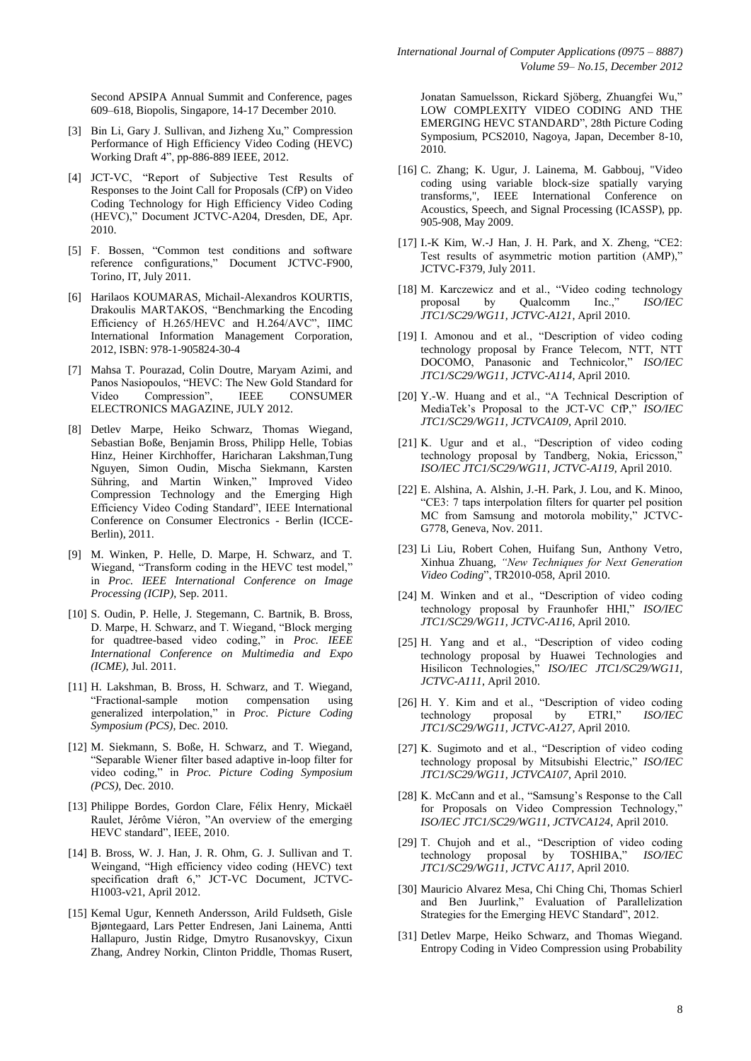Second APSIPA Annual Summit and Conference, pages 609–618, Biopolis, Singapore, 14-17 December 2010.

- [3] Bin Li, Gary J. Sullivan, and Jizheng Xu," Compression Performance of High Efficiency Video Coding (HEVC) Working Draft 4", pp-886-889 IEEE, 2012.
- [4] JCT-VC, "Report of Subjective Test Results of Responses to the Joint Call for Proposals (CfP) on Video Coding Technology for High Efficiency Video Coding (HEVC)," Document JCTVC-A204, Dresden, DE, Apr. 2010.
- [5] F. Bossen, "Common test conditions and software reference configurations," Document JCTVC-F900, Torino, IT, July 2011.
- [6] Harilaos KOUMARAS, Michail-Alexandros KOURTIS, Drakoulis MARTAKOS, "Benchmarking the Encoding Efficiency of H.265/HEVC and H.264/AVC", IIMC International Information Management Corporation, 2012, ISBN: 978-1-905824-30-4
- [7] Mahsa T. Pourazad, Colin Doutre, Maryam Azimi, and Panos Nasiopoulos, "HEVC: The New Gold Standard for Video Compression", IEEE CONSUMER ELECTRONICS MAGAZINE, JULY 2012.
- [8] Detlev Marpe, Heiko Schwarz, Thomas Wiegand, Sebastian Boße, Benjamin Bross, Philipp Helle, Tobias Hinz, Heiner Kirchhoffer, Haricharan Lakshman,Tung Nguyen, Simon Oudin, Mischa Siekmann, Karsten Sühring, and Martin Winken," Improved Video Compression Technology and the Emerging High Efficiency Video Coding Standard", IEEE International Conference on Consumer Electronics - Berlin (ICCE-Berlin), 2011.
- [9] M. Winken, P. Helle, D. Marpe, H. Schwarz, and T. Wiegand, "Transform coding in the HEVC test model," in *Proc. IEEE International Conference on Image Processing (ICIP)*, Sep. 2011.
- [10] S. Oudin, P. Helle, J. Stegemann, C. Bartnik, B. Bross, D. Marpe, H. Schwarz, and T. Wiegand, "Block merging for quadtree-based video coding," in *Proc. IEEE International Conference on Multimedia and Expo (ICME)*, Jul. 2011.
- [11] H. Lakshman, B. Bross, H. Schwarz, and T. Wiegand, "Fractional-sample motion compensation using generalized interpolation," in *Proc. Picture Coding Symposium (PCS)*, Dec. 2010.
- [12] M. Siekmann, S. Boße, H. Schwarz, and T. Wiegand, "Separable Wiener filter based adaptive in-loop filter for video coding," in *Proc. Picture Coding Symposium (PCS)*, Dec. 2010.
- [13] Philippe Bordes, Gordon Clare, Félix Henry, Mickaël Raulet, Jérôme Viéron, "An overview of the emerging HEVC standard", IEEE, 2010.
- [14] B. Bross, W. J. Han, J. R. Ohm, G. J. Sullivan and T. Weingand, "High efficiency video coding (HEVC) text specification draft 6," JCT-VC Document, JCTVC-H1003-v21, April 2012.
- [15] Kemal Ugur, Kenneth Andersson, Arild Fuldseth, Gisle Bjøntegaard, Lars Petter Endresen, Jani Lainema, Antti Hallapuro, Justin Ridge, Dmytro Rusanovskyy, Cixun Zhang, Andrey Norkin, Clinton Priddle, Thomas Rusert,

Jonatan Samuelsson, Rickard Sjöberg, Zhuangfei Wu," LOW COMPLEXITY VIDEO CODING AND THE EMERGING HEVC STANDARD", 28th Picture Coding Symposium, PCS2010, Nagoya, Japan, December 8-10, 2010.

- [16] C. Zhang; K. Ugur, J. Lainema, M. Gabbouj, "Video coding using variable block-size spatially varying transforms,", IEEE International Conference on Acoustics, Speech, and Signal Processing (ICASSP), pp. 905-908, May 2009.
- [17] I.-K Kim, W.-J Han, J. H. Park, and X. Zheng, "CE2: Test results of asymmetric motion partition (AMP)," JCTVC-F379, July 2011.
- [18] M. Karczewicz and et al., "Video coding technology<br>proposal by Qualcomm Inc.." ISO/IEC proposal by Qualcomm Inc.," *ISO/IEC JTC1/SC29/WG11, JCTVC-A121*, April 2010.
- [19] I. Amonou and et al., "Description of video coding technology proposal by France Telecom, NTT, NTT DOCOMO, Panasonic and Technicolor," *ISO/IEC JTC1/SC29/WG11, JCTVC-A114*, April 2010.
- [20] Y.-W. Huang and et al., "A Technical Description of MediaTek's Proposal to the JCT-VC CfP," *ISO/IEC JTC1/SC29/WG11, JCTVCA109*, April 2010.
- [21] K. Ugur and et al., "Description of video coding technology proposal by Tandberg, Nokia, Ericsson,' *ISO/IEC JTC1/SC29/WG11, JCTVC-A119*, April 2010.
- [22] E. Alshina, A. Alshin, J.-H. Park, J. Lou, and K. Minoo, "CE3: 7 taps interpolation filters for quarter pel position MC from Samsung and motorola mobility," JCTVC-G778, Geneva, Nov. 2011.
- [23] Li Liu, Robert Cohen, Huifang Sun, Anthony Vetro, Xinhua Zhuang, *"New Techniques for Next Generation Video Coding*", TR2010-058, April 2010.
- [24] M. Winken and et al., "Description of video coding technology proposal by Fraunhofer HHI," *ISO/IEC JTC1/SC29/WG11, JCTVC-A116*, April 2010.
- [25] H. Yang and et al., "Description of video coding technology proposal by Huawei Technologies and Hisilicon Technologies," *ISO/IEC JTC1/SC29/WG11, JCTVC-A111*, April 2010.
- [26] H. Y. Kim and et al., "Description of video coding technology proposal by ETRI," *ISO/IEC JTC1/SC29/WG11, JCTVC-A127*, April 2010.
- [27] K. Sugimoto and et al., "Description of video coding technology proposal by Mitsubishi Electric," *ISO/IEC JTC1/SC29/WG11, JCTVCA107*, April 2010.
- [28] K. McCann and et al., "Samsung's Response to the Call for Proposals on Video Compression Technology," *ISO/IEC JTC1/SC29/WG11, JCTVCA124*, April 2010.
- [29] T. Chujoh and et al., "Description of video coding technology proposal by TOSHIBA," *ISO/IEC JTC1/SC29/WG11, JCTVC A117*, April 2010.
- [30] Mauricio Alvarez Mesa, Chi Ching Chi, Thomas Schierl and Ben Juurlink," Evaluation of Parallelization Strategies for the Emerging HEVC Standard", 2012.
- [31] Detlev Marpe, Heiko Schwarz, and Thomas Wiegand. Entropy Coding in Video Compression using Probability